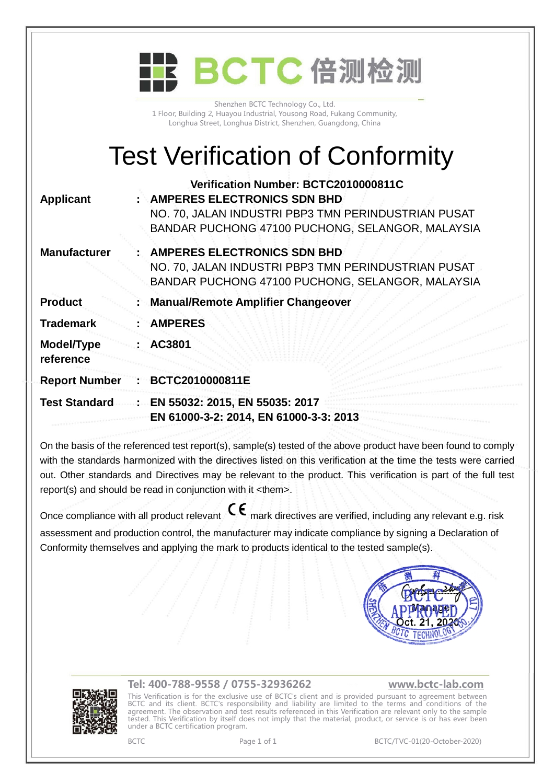|                         | BCTC 倍测检测                                                                                                                                                                             |
|-------------------------|---------------------------------------------------------------------------------------------------------------------------------------------------------------------------------------|
|                         | Shenzhen BCTC Technology Co., Ltd.<br>1 Floor, Building 2, Huayou Industrial, Yousong Road, Fukang Community,<br>Longhua Street, Longhua District, Shenzhen, Guangdong, China         |
|                         | <b>Test Verification of Conformity</b>                                                                                                                                                |
| <b>Applicant</b>        | Verification Number: BCTC2010000811C<br><b>AMPERES ELECTRONICS SDN BHD</b><br>NO. 70, JALAN INDUSTRI PBP3 TMN PERINDUSTRIAN PUSAT<br>BANDAR PUCHONG 47100 PUCHONG, SELANGOR, MALAYSIA |
| <b>Manufacturer</b>     | <b>AMPERES ELECTRONICS SDN BHD</b><br>NO. 70, JALAN INDUSTRI PBP3 TMN PERINDUSTRIAN PUSAT<br>BANDAR PUCHONG 47100 PUCHONG, SELANGOR, MALAYSIA                                         |
| <b>Product</b>          | <b>Manual/Remote Amplifier Changeover</b>                                                                                                                                             |
| <b>Trademark</b>        | <b>AMPERES</b>                                                                                                                                                                        |
| Model/Type<br>reference | AC3801                                                                                                                                                                                |
| <b>Report Number</b>    | BCTC2010000811E                                                                                                                                                                       |
| <b>Test Standard</b>    | EN 55032: 2015, EN 55035: 2017<br>EN 61000-3-2: 2014, EN 61000-3-3: 2013                                                                                                              |
|                         |                                                                                                                                                                                       |

On the basis of the referenced test report(s), sample(s) tested of the above product have been found to comply with the standards harmonized with the directives listed on this verification at the time the tests were carried out. Other standards and Directives may be relevant to the product. This verification is part of the full test report(s) and should be read in conjunction with it <them>.

Once compliance with all product relevant  $\mathsf{C}\mathsf{\epsilon}$  mark directives are verified, including any relevant e.g. risk assessment and production control, the manufacturer may indicate compliance by signing a Declaration of Conformity themselves and applying the mark to products identical to the tested sample(s).





## **Tel: 400-788-9558 / 0755-32936262 [www.bctc-lab.com](http://www.bctc-lab.com)**

This Verification is for the exclusive use of BCTC's client and is provided pursuant to agreement between BCTC and its client. BCTC's responsibility and liability are limited to the terms and conditions of the agreement. The observation and test results referenced in this Verification are relevant only to the sample tested. This Verification by itself does not imply that the material, product, or service is or has ever been under a BCTC certification program.